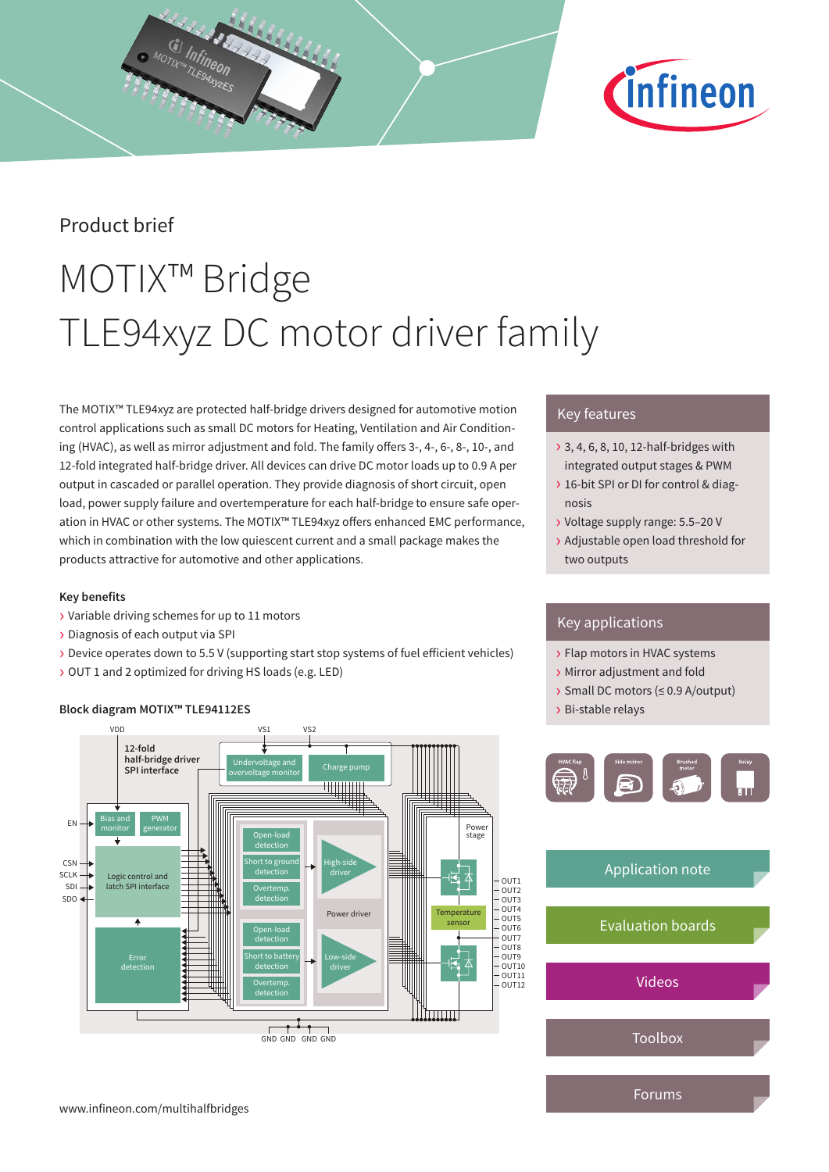

# Product brief

# MOTIX™ Bridge TLE94xyz DC motor driver family

The MOTIX™ TLE94xyz are protected half-bridge drivers designed for automotive motion control applications such as small DC motors for Heating, Ventilation and Air Conditioning (HVAC), as well as mirror adjustment and fold. The family offers 3-, 4-, 6-, 8-, 10-, and 12-fold integrated half-bridge driver. All devices can drive DC motor loads up to 0.9 A per output in cascaded or parallel operation. They provide diagnosis of short circuit, open load, power supply failure and overtemperature for each half-bridge to ensure safe operation in HVAC or other systems. The MOTIX™ TLE94xyz offers enhanced EMC performance, which in combination with the low quiescent current and a small package makes the products attractive for automotive and other applications.

### **Key benefits**

- › Variable driving schemes for up to 11 motors
- › Diagnosis of each output via SPI
- › Device operates down to 5.5 V (supporting start stop systems of fuel efficient vehicles)
- › OUT 1 and 2 optimized for driving HS loads (e.g. LED)

### **Block diagram MOTIX™ TLE94112ES**



## Key features

- › 3, 4, 6, 8, 10, 12-half-bridges with integrated output stages & PWM
- › 16-bit SPI or DI for control & diagnosis
- › Voltage supply range: 5.5–20 V
- › Adjustable open load threshold for two outputs

## Key applications

- › Flap motors in HVAC systems
- › Mirror adjustment and fold
- › Small DC motors (≤ 0.9 A/output)
- › Bi-stable relays